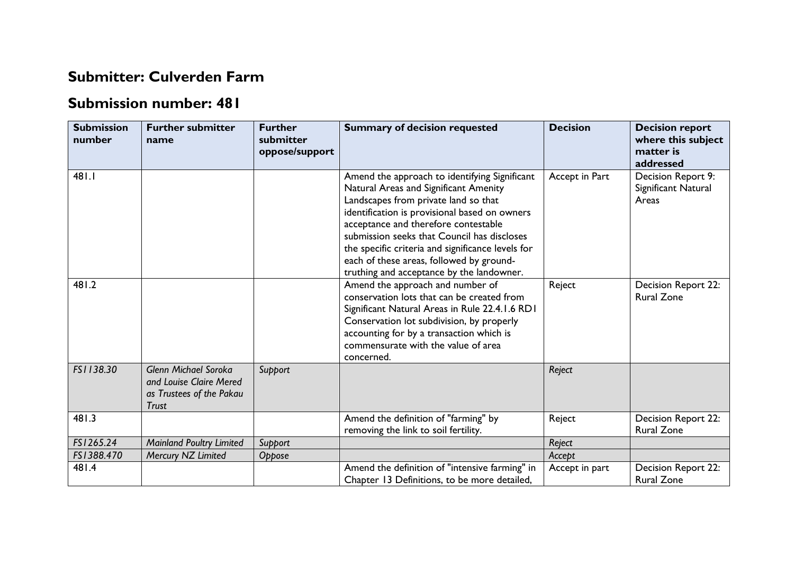## **Submitter: Culverden Farm**

## **Submission number: 481**

| <b>Submission</b><br>number | <b>Further submitter</b><br>name                                                                   | <b>Further</b><br>submitter<br>oppose/support | <b>Summary of decision requested</b>                                                                                                                                                                                                                                                                                                                                                                                 | <b>Decision</b> | <b>Decision report</b><br>where this subject<br>matter is<br>addressed |
|-----------------------------|----------------------------------------------------------------------------------------------------|-----------------------------------------------|----------------------------------------------------------------------------------------------------------------------------------------------------------------------------------------------------------------------------------------------------------------------------------------------------------------------------------------------------------------------------------------------------------------------|-----------------|------------------------------------------------------------------------|
| 481.1                       |                                                                                                    |                                               | Amend the approach to identifying Significant<br>Natural Areas and Significant Amenity<br>Landscapes from private land so that<br>identification is provisional based on owners<br>acceptance and therefore contestable<br>submission seeks that Council has discloses<br>the specific criteria and significance levels for<br>each of these areas, followed by ground-<br>truthing and acceptance by the landowner. | Accept in Part  | Decision Report 9:<br>Significant Natural<br>Areas                     |
| 481.2                       |                                                                                                    |                                               | Amend the approach and number of<br>conservation lots that can be created from<br>Significant Natural Areas in Rule 22.4.1.6 RD1<br>Conservation lot subdivision, by properly<br>accounting for by a transaction which is<br>commensurate with the value of area<br>concerned.                                                                                                                                       | Reject          | Decision Report 22:<br><b>Rural Zone</b>                               |
| FS1138.30                   | <b>Glenn Michael Soroka</b><br>and Louise Claire Mered<br>as Trustees of the Pakau<br><b>Trust</b> | Support                                       |                                                                                                                                                                                                                                                                                                                                                                                                                      | Reject          |                                                                        |
| 481.3                       |                                                                                                    |                                               | Amend the definition of "farming" by<br>removing the link to soil fertility.                                                                                                                                                                                                                                                                                                                                         | Reject          | Decision Report 22:<br><b>Rural Zone</b>                               |
| FS1265.24                   | <b>Mainland Poultry Limited</b>                                                                    | Support                                       |                                                                                                                                                                                                                                                                                                                                                                                                                      | Reject          |                                                                        |
| FS1388.470                  | Mercury NZ Limited                                                                                 | Oppose                                        |                                                                                                                                                                                                                                                                                                                                                                                                                      | Accept          |                                                                        |
| 481.4                       |                                                                                                    |                                               | Amend the definition of "intensive farming" in<br>Chapter 13 Definitions, to be more detailed,                                                                                                                                                                                                                                                                                                                       | Accept in part  | Decision Report 22:<br><b>Rural Zone</b>                               |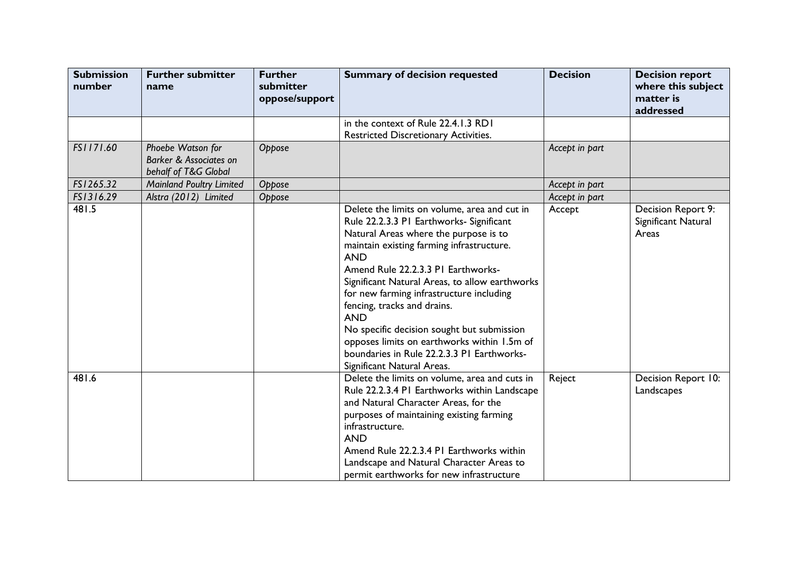| <b>Submission</b><br>number | <b>Further submitter</b><br>name                                               | <b>Further</b><br>submitter<br>oppose/support | <b>Summary of decision requested</b>                                                                                                                                                                                                                                                                                                                                                                                                                                                                                                                   | <b>Decision</b> | <b>Decision report</b><br>where this subject<br>matter is<br>addressed |
|-----------------------------|--------------------------------------------------------------------------------|-----------------------------------------------|--------------------------------------------------------------------------------------------------------------------------------------------------------------------------------------------------------------------------------------------------------------------------------------------------------------------------------------------------------------------------------------------------------------------------------------------------------------------------------------------------------------------------------------------------------|-----------------|------------------------------------------------------------------------|
|                             |                                                                                |                                               | in the context of Rule 22.4.1.3 RD1<br>Restricted Discretionary Activities.                                                                                                                                                                                                                                                                                                                                                                                                                                                                            |                 |                                                                        |
| FS1171.60                   | Phoebe Watson for<br><b>Barker &amp; Associates on</b><br>behalf of T&G Global | Oppose                                        |                                                                                                                                                                                                                                                                                                                                                                                                                                                                                                                                                        | Accept in part  |                                                                        |
| FS1265.32                   | <b>Mainland Poultry Limited</b>                                                | Oppose                                        |                                                                                                                                                                                                                                                                                                                                                                                                                                                                                                                                                        | Accept in part  |                                                                        |
| FS1316.29                   | Alstra (2012) Limited                                                          | Oppose                                        |                                                                                                                                                                                                                                                                                                                                                                                                                                                                                                                                                        | Accept in part  |                                                                        |
| 481.5                       |                                                                                |                                               | Delete the limits on volume, area and cut in<br>Rule 22.2.3.3 PI Earthworks- Significant<br>Natural Areas where the purpose is to<br>maintain existing farming infrastructure.<br><b>AND</b><br>Amend Rule 22.2.3.3 PI Earthworks-<br>Significant Natural Areas, to allow earthworks<br>for new farming infrastructure including<br>fencing, tracks and drains.<br><b>AND</b><br>No specific decision sought but submission<br>opposes limits on earthworks within 1.5m of<br>boundaries in Rule 22.2.3.3 PI Earthworks-<br>Significant Natural Areas. | Accept          | Decision Report 9:<br>Significant Natural<br>Areas                     |
| 481.6                       |                                                                                |                                               | Delete the limits on volume, area and cuts in<br>Rule 22.2.3.4 PI Earthworks within Landscape<br>and Natural Character Areas, for the<br>purposes of maintaining existing farming<br>infrastructure.<br><b>AND</b><br>Amend Rule 22.2.3.4 PI Earthworks within<br>Landscape and Natural Character Areas to<br>permit earthworks for new infrastructure                                                                                                                                                                                                 | Reject          | Decision Report 10:<br>Landscapes                                      |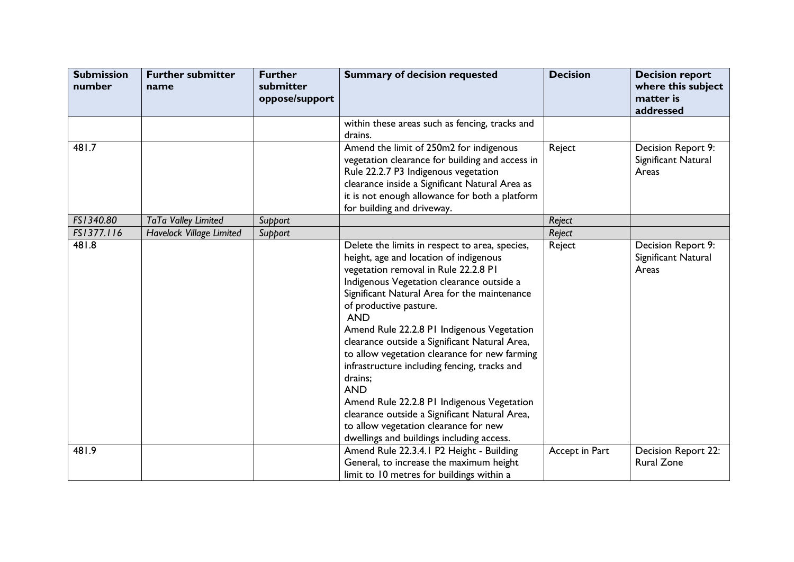| <b>Submission</b><br>number | <b>Further submitter</b><br>name | <b>Further</b><br>submitter<br>oppose/support | <b>Summary of decision requested</b>                                                                                                                                                                                                                                                                                                                                                                                                                                                                                                                                                                                                                                                | <b>Decision</b> | <b>Decision report</b><br>where this subject<br>matter is<br>addressed |
|-----------------------------|----------------------------------|-----------------------------------------------|-------------------------------------------------------------------------------------------------------------------------------------------------------------------------------------------------------------------------------------------------------------------------------------------------------------------------------------------------------------------------------------------------------------------------------------------------------------------------------------------------------------------------------------------------------------------------------------------------------------------------------------------------------------------------------------|-----------------|------------------------------------------------------------------------|
|                             |                                  |                                               | within these areas such as fencing, tracks and<br>drains.                                                                                                                                                                                                                                                                                                                                                                                                                                                                                                                                                                                                                           |                 |                                                                        |
| 481.7                       |                                  |                                               | Amend the limit of 250m2 for indigenous<br>vegetation clearance for building and access in<br>Rule 22.2.7 P3 Indigenous vegetation<br>clearance inside a Significant Natural Area as<br>it is not enough allowance for both a platform<br>for building and driveway.                                                                                                                                                                                                                                                                                                                                                                                                                | Reject          | Decision Report 9:<br>Significant Natural<br>Areas                     |
| FS1340.80                   | TaTa Valley Limited              | Support                                       |                                                                                                                                                                                                                                                                                                                                                                                                                                                                                                                                                                                                                                                                                     | Reject          |                                                                        |
| FS1377.116                  | <b>Havelock Village Limited</b>  | Support                                       |                                                                                                                                                                                                                                                                                                                                                                                                                                                                                                                                                                                                                                                                                     | Reject          |                                                                        |
| 481.8                       |                                  |                                               | Delete the limits in respect to area, species,<br>height, age and location of indigenous<br>vegetation removal in Rule 22.2.8 PI<br>Indigenous Vegetation clearance outside a<br>Significant Natural Area for the maintenance<br>of productive pasture.<br><b>AND</b><br>Amend Rule 22.2.8 PI Indigenous Vegetation<br>clearance outside a Significant Natural Area,<br>to allow vegetation clearance for new farming<br>infrastructure including fencing, tracks and<br>drains;<br><b>AND</b><br>Amend Rule 22.2.8 PI Indigenous Vegetation<br>clearance outside a Significant Natural Area,<br>to allow vegetation clearance for new<br>dwellings and buildings including access. | Reject          | Decision Report 9:<br>Significant Natural<br>Areas                     |
| 481.9                       |                                  |                                               | Amend Rule 22.3.4.1 P2 Height - Building<br>General, to increase the maximum height<br>limit to 10 metres for buildings within a                                                                                                                                                                                                                                                                                                                                                                                                                                                                                                                                                    | Accept in Part  | Decision Report 22:<br><b>Rural Zone</b>                               |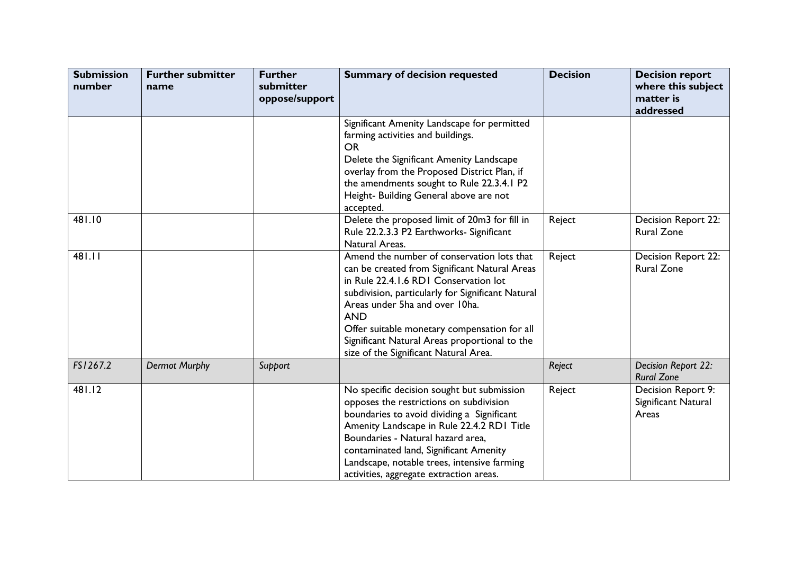| <b>Submission</b><br>number | <b>Further submitter</b><br>name | <b>Further</b><br>submitter<br>oppose/support | <b>Summary of decision requested</b>                                                                                                                                                                                                                                                                                                                                                | <b>Decision</b> | <b>Decision report</b><br>where this subject<br>matter is<br>addressed |
|-----------------------------|----------------------------------|-----------------------------------------------|-------------------------------------------------------------------------------------------------------------------------------------------------------------------------------------------------------------------------------------------------------------------------------------------------------------------------------------------------------------------------------------|-----------------|------------------------------------------------------------------------|
|                             |                                  |                                               | Significant Amenity Landscape for permitted<br>farming activities and buildings.<br><b>OR</b><br>Delete the Significant Amenity Landscape<br>overlay from the Proposed District Plan, if<br>the amendments sought to Rule 22.3.4.1 P2<br>Height- Building General above are not<br>accepted.                                                                                        |                 |                                                                        |
| 481.10                      |                                  |                                               | Delete the proposed limit of 20m3 for fill in<br>Rule 22.2.3.3 P2 Earthworks- Significant<br>Natural Areas.                                                                                                                                                                                                                                                                         | Reject          | Decision Report 22:<br><b>Rural Zone</b>                               |
| 481.11                      |                                  |                                               | Amend the number of conservation lots that<br>can be created from Significant Natural Areas<br>in Rule 22.4.1.6 RD1 Conservation lot<br>subdivision, particularly for Significant Natural<br>Areas under 5ha and over 10ha.<br><b>AND</b><br>Offer suitable monetary compensation for all<br>Significant Natural Areas proportional to the<br>size of the Significant Natural Area. | Reject          | Decision Report 22:<br><b>Rural Zone</b>                               |
| FS1267.2                    | <b>Dermot Murphy</b>             | Support                                       |                                                                                                                                                                                                                                                                                                                                                                                     | Reject          | Decision Report 22:<br><b>Rural Zone</b>                               |
| 481.12                      |                                  |                                               | No specific decision sought but submission<br>opposes the restrictions on subdivision<br>boundaries to avoid dividing a Significant<br>Amenity Landscape in Rule 22.4.2 RD1 Title<br>Boundaries - Natural hazard area,<br>contaminated land, Significant Amenity<br>Landscape, notable trees, intensive farming<br>activities, aggregate extraction areas.                          | Reject          | Decision Report 9:<br>Significant Natural<br>Areas                     |